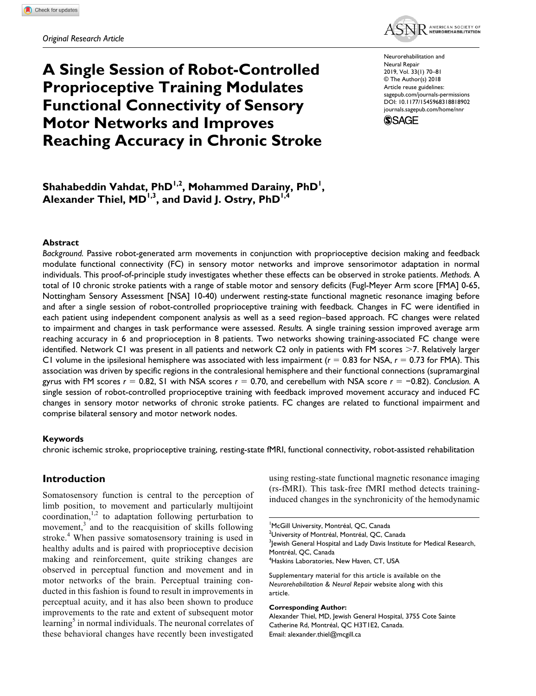

# **A Single Session of Robot-Controlled Proprioceptive Training Modulates Functional Connectivity of Sensory Motor Networks and Improves Reaching Accuracy in Chronic Stroke**

https://doi.org/10.1177/1545968318818902 DOI: 10.1177/1545968318818902 Neurorehabilitation and Neural Repair 2019, Vol. 33(1) 70–81 © The Author(s) 2018 Article reuse guidelines: [sagepub.com/journals-permissions](https://us.sagepub.com/en-us/journals-permissions) [journals.sagepub.com/home/nnr](https://journals.sagepub.com/home/nnr)



**Shahabeddin Vahdat, PhD1,2 , Mohammed Darainy, PhD1 ,**  Alexander Thiel, MD<sup>I,3</sup>, and David J. Ostry, PhD<sup>I,4</sup>

#### **Abstract**

*Background.* Passive robot-generated arm movements in conjunction with proprioceptive decision making and feedback modulate functional connectivity (FC) in sensory motor networks and improve sensorimotor adaptation in normal individuals. This proof-of-principle study investigates whether these effects can be observed in stroke patients. *Methods.* A total of 10 chronic stroke patients with a range of stable motor and sensory deficits (Fugl-Meyer Arm score [FMA] 0-65, Nottingham Sensory Assessment [NSA] 10-40) underwent resting-state functional magnetic resonance imaging before and after a single session of robot-controlled proprioceptive training with feedback. Changes in FC were identified in each patient using independent component analysis as well as a seed region–based approach. FC changes were related to impairment and changes in task performance were assessed. *Results.* A single training session improved average arm reaching accuracy in 6 and proprioception in 8 patients. Two networks showing training-associated FC change were identified. Network C1 was present in all patients and network C2 only in patients with FM scores >7. Relatively larger C1 volume in the ipsilesional hemisphere was associated with less impairment  $(r = 0.83$  for NSA,  $r = 0.73$  for FMA). This association was driven by specific regions in the contralesional hemisphere and their functional connections (supramarginal gyrus with FM scores *r* = 0.82, S1 with NSA scores *r* = 0.70, and cerebellum with NSA score *r* = −0.82). *Conclusion.* A single session of robot-controlled proprioceptive training with feedback improved movement accuracy and induced FC changes in sensory motor networks of chronic stroke patients. FC changes are related to functional impairment and comprise bilateral sensory and motor network nodes.

#### **Keywords**

chronic ischemic stroke, proprioceptive training, resting-state fMRI, functional connectivity, robot-assisted rehabilitation

## **Introduction**

Somatosensory function is central to the perception of limb position, to movement and particularly multijoint coordination, $1,2$  to adaptation following perturbation to movement, $3$  and to the reacquisition of skills following stroke.<sup>4</sup> When passive somatosensory training is used in healthy adults and is paired with proprioceptive decision making and reinforcement, quite striking changes are observed in perceptual function and movement and in motor networks of the brain. Perceptual training conducted in this fashion is found to result in improvements in perceptual acuity, and it has also been shown to produce improvements to the rate and extent of subsequent motor learning<sup>5</sup> in normal individuals. The neuronal correlates of these behavioral changes have recently been investigated

using resting-state functional magnetic resonance imaging (rs-fMRI). This task-free fMRI method detects traininginduced changes in the synchronicity of the hemodynamic

1 McGill University, Montréal, QC, Canada

<sup>2</sup>University of Montréal, Montréal, QC, Canada

 $^3$ Jewish General Hospital and Lady Davis Institute for Medical Research, Montréal, QC, Canada

4 Haskins Laboratories, New Haven, CT, USA

Supplementary material for this article is available on the *Neurorehabilitation & Neural Repair* website along with this article.

#### **Corresponding Author:**

Alexander Thiel, MD, Jewish General Hospital, 3755 Cote Sainte Catherine Rd, Montréal, QC H3T1E2, Canada. Email: [alexander.thiel@mcgill.ca](mailto:alexander.thiel@mcgill.ca)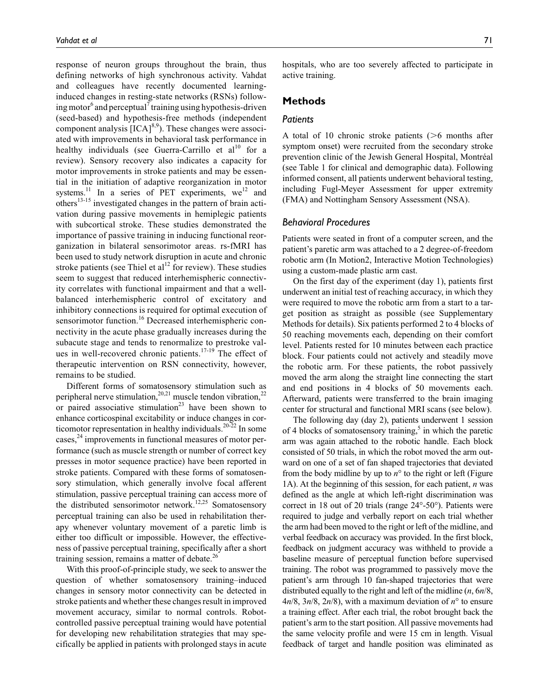response of neuron groups throughout the brain, thus defining networks of high synchronous activity. Vahdat and colleagues have recently documented learninginduced changes in resting-state networks (RSNs) following motor<sup>6</sup> and perceptual<sup>7</sup> training using hypothesis-driven (seed-based) and hypothesis-free methods (independent component analysis  $[ICA]^{8,9}$ ). These changes were associated with improvements in behavioral task performance in healthy individuals (see Guerra-Carrillo et  $al^{10}$  for a review). Sensory recovery also indicates a capacity for motor improvements in stroke patients and may be essential in the initiation of adaptive reorganization in motor systems.<sup>11</sup> In a series of PET experiments,  $we^{12}$  and others<sup>13-15</sup> investigated changes in the pattern of brain activation during passive movements in hemiplegic patients with subcortical stroke. These studies demonstrated the importance of passive training in inducing functional reorganization in bilateral sensorimotor areas. rs-fMRI has been used to study network disruption in acute and chronic stroke patients (see Thiel et al<sup>12</sup> for review). These studies seem to suggest that reduced interhemispheric connectivity correlates with functional impairment and that a wellbalanced interhemispheric control of excitatory and inhibitory connections is required for optimal execution of sensorimotor function.<sup>16</sup> Decreased interhemispheric connectivity in the acute phase gradually increases during the subacute stage and tends to renormalize to prestroke values in well-recovered chronic patients.<sup>17-19</sup> The effect of therapeutic intervention on RSN connectivity, however, remains to be studied.

Different forms of somatosensory stimulation such as peripheral nerve stimulation,<sup>20,21</sup> muscle tendon vibration,<sup>22</sup> or paired associative stimulation<sup>23</sup> have been shown to enhance corticospinal excitability or induce changes in corticomotor representation in healthy individuals.<sup>20-22</sup> In some cases,<sup>24</sup> improvements in functional measures of motor performance (such as muscle strength or number of correct key presses in motor sequence practice) have been reported in stroke patients. Compared with these forms of somatosensory stimulation, which generally involve focal afferent stimulation, passive perceptual training can access more of the distributed sensorimotor network.<sup>12,25</sup> Somatosensory perceptual training can also be used in rehabilitation therapy whenever voluntary movement of a paretic limb is either too difficult or impossible. However, the effectiveness of passive perceptual training, specifically after a short training session, remains a matter of debate. $^{26}$ 

With this proof-of-principle study, we seek to answer the question of whether somatosensory training–induced changes in sensory motor connectivity can be detected in stroke patients and whether these changes result in improved movement accuracy, similar to normal controls. Robotcontrolled passive perceptual training would have potential for developing new rehabilitation strategies that may specifically be applied in patients with prolonged stays in acute hospitals, who are too severely affected to participate in active training.

## **Methods**

#### *Patients*

A total of 10 chronic stroke patients (>6 months after symptom onset) were recruited from the secondary stroke prevention clinic of the Jewish General Hospital, Montréal (see Table 1 for clinical and demographic data). Following informed consent, all patients underwent behavioral testing, including Fugl-Meyer Assessment for upper extremity (FMA) and Nottingham Sensory Assessment (NSA).

## *Behavioral Procedures*

Patients were seated in front of a computer screen, and the patient's paretic arm was attached to a 2 degree-of-freedom robotic arm (In Motion2, Interactive Motion Technologies) using a custom-made plastic arm cast.

On the first day of the experiment (day 1), patients first underwent an initial test of reaching accuracy, in which they were required to move the robotic arm from a start to a target position as straight as possible (see Supplementary Methods for details). Six patients performed 2 to 4 blocks of 50 reaching movements each, depending on their comfort level. Patients rested for 10 minutes between each practice block. Four patients could not actively and steadily move the robotic arm. For these patients, the robot passively moved the arm along the straight line connecting the start and end positions in 4 blocks of 50 movements each. Afterward, patients were transferred to the brain imaging center for structural and functional MRI scans (see below).

The following day (day 2), patients underwent 1 session of 4 blocks of somatosensory training,<sup>5</sup> in which the paretic arm was again attached to the robotic handle. Each block consisted of 50 trials, in which the robot moved the arm outward on one of a set of fan shaped trajectories that deviated from the body midline by up to  $n<sup>o</sup>$  to the right or left (Figure 1A). At the beginning of this session, for each patient, *n* was defined as the angle at which left-right discrimination was correct in 18 out of 20 trials (range 24°-50°). Patients were required to judge and verbally report on each trial whether the arm had been moved to the right or left of the midline, and verbal feedback on accuracy was provided. In the first block, feedback on judgment accuracy was withheld to provide a baseline measure of perceptual function before supervised training. The robot was programmed to passively move the patient's arm through 10 fan-shaped trajectories that were distributed equally to the right and left of the midline (*n*, 6*n*/8,  $4n/8$ ,  $3n/8$ ,  $2n/8$ ), with a maximum deviation of  $n^{\circ}$  to ensure a training effect. After each trial, the robot brought back the patient's arm to the start position. All passive movements had the same velocity profile and were 15 cm in length. Visual feedback of target and handle position was eliminated as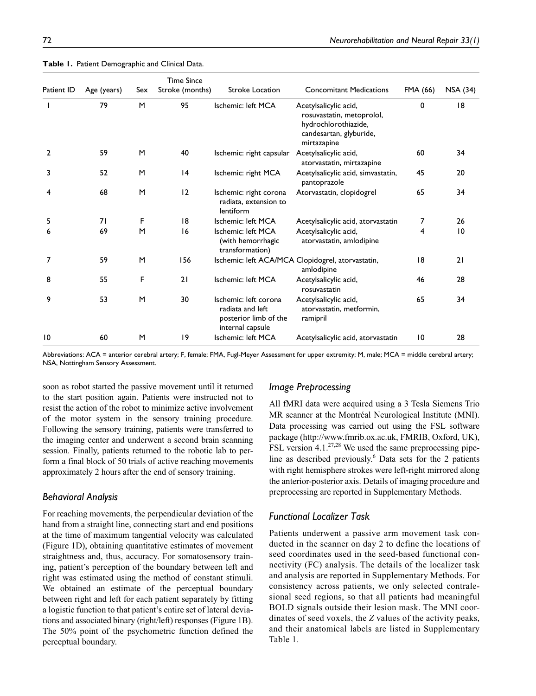| Patient ID | Age (years) | Sex | <b>Time Since</b><br>Stroke (months) | <b>Stroke Location</b>                                                                 | <b>Concomitant Medications</b>                                                                                       | FMA (66) | <b>NSA (34)</b> |
|------------|-------------|-----|--------------------------------------|----------------------------------------------------------------------------------------|----------------------------------------------------------------------------------------------------------------------|----------|-----------------|
|            | 79          | M   | 95                                   | Ischemic: left MCA                                                                     | Acetylsalicylic acid,<br>rosuvastatin, metoprolol,<br>hydrochlorothiazide,<br>candesartan, glyburide,<br>mirtazapine | 0        | 18              |
| 2          | 59          | M   | 40                                   | Ischemic: right capsular                                                               | Acetylsalicylic acid,<br>atorvastatin, mirtazapine                                                                   | 60       | 34              |
| 3          | 52          | M   | 4                                    | Ischemic: right MCA                                                                    | Acetylsalicylic acid, simvastatin,<br>pantoprazole                                                                   | 45       | 20              |
| 4          | 68          | M   | 12                                   | Ischemic: right corona<br>radiata, extension to<br>lentiform                           | Atorvastatin, clopidogrel                                                                                            | 65       | 34              |
| 5          | 71          | F   | 8                                    | Ischemic: left MCA                                                                     | Acetylsalicylic acid, atorvastatin                                                                                   | 7        | 26              |
| 6          | 69          | M   | 16                                   | Ischemic: left MCA<br>(with hemorrhagic<br>transformation)                             | Acetylsalicylic acid,<br>atorvastatin, amlodipine                                                                    | 4        | 10              |
| 7          | 59          | M   | 156                                  |                                                                                        | Ischemic: left ACA/MCA Clopidogrel, atorvastatin,<br>amlodipine                                                      | 18       | 21              |
| 8          | 55          | F   | 21                                   | Ischemic: left MCA                                                                     | Acetylsalicylic acid,<br>rosuvastatin                                                                                | 46       | 28              |
| 9          | 53          | M   | 30                                   | Ischemic: left corona<br>radiata and left<br>posterior limb of the<br>internal capsule | Acetylsalicylic acid,<br>atorvastatin, metformin,<br>ramipril                                                        | 65       | 34              |
| 10         | 60          | M   | 19                                   | Ischemic: left MCA                                                                     | Acetylsalicylic acid, atorvastatin                                                                                   | 10       | 28              |

**Table 1.** Patient Demographic and Clinical Data.

Abbreviations: ACA = anterior cerebral artery; F, female; FMA, Fugl-Meyer Assessment for upper extremity; M, male; MCA = middle cerebral artery; NSA, Nottingham Sensory Assessment.

soon as robot started the passive movement until it returned to the start position again. Patients were instructed not to resist the action of the robot to minimize active involvement of the motor system in the sensory training procedure. Following the sensory training, patients were transferred to the imaging center and underwent a second brain scanning session. Finally, patients returned to the robotic lab to perform a final block of 50 trials of active reaching movements approximately 2 hours after the end of sensory training.

#### *Behavioral Analysis*

For reaching movements, the perpendicular deviation of the hand from a straight line, connecting start and end positions at the time of maximum tangential velocity was calculated (Figure 1D), obtaining quantitative estimates of movement straightness and, thus, accuracy. For somatosensory training, patient's perception of the boundary between left and right was estimated using the method of constant stimuli. We obtained an estimate of the perceptual boundary between right and left for each patient separately by fitting a logistic function to that patient's entire set of lateral deviations and associated binary (right/left) responses (Figure 1B). The 50% point of the psychometric function defined the perceptual boundary.

# *Image Preprocessing*

All fMRI data were acquired using a 3 Tesla Siemens Trio MR scanner at the Montréal Neurological Institute (MNI). Data processing was carried out using the FSL software package [\(http://www.fmrib.ox.ac.uk,](http://www.fmrib.ox.ac.uk) FMRIB, Oxford, UK), FSL version 4.1. $^{27,28}$  We used the same preprocessing pipeline as described previously.<sup>6</sup> Data sets for the 2 patients with right hemisphere strokes were left-right mirrored along the anterior-posterior axis. Details of imaging procedure and preprocessing are reported in Supplementary Methods.

## *Functional Localizer Task*

Patients underwent a passive arm movement task conducted in the scanner on day 2 to define the locations of seed coordinates used in the seed-based functional connectivity (FC) analysis. The details of the localizer task and analysis are reported in Supplementary Methods. For consistency across patients, we only selected contralesional seed regions, so that all patients had meaningful BOLD signals outside their lesion mask. The MNI coordinates of seed voxels, the *Z* values of the activity peaks, and their anatomical labels are listed in Supplementary Table 1.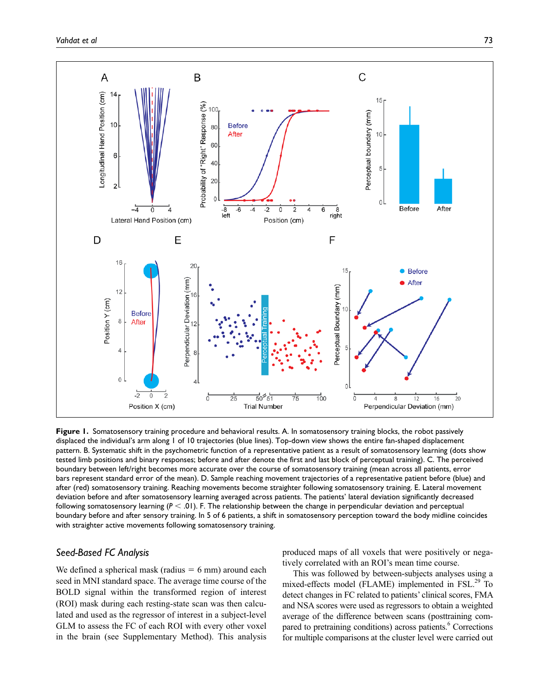

**Figure 1.** Somatosensory training procedure and behavioral results. A. In somatosensory training blocks, the robot passively displaced the individual's arm along 1 of 10 trajectories (blue lines). Top-down view shows the entire fan-shaped displacement pattern. B. Systematic shift in the psychometric function of a representative patient as a result of somatosensory learning (dots show tested limb positions and binary responses; before and after denote the first and last block of perceptual training). C. The perceived boundary between left/right becomes more accurate over the course of somatosensory training (mean across all patients, error bars represent standard error of the mean). D. Sample reaching movement trajectories of a representative patient before (blue) and after (red) somatosensory training. Reaching movements become straighter following somatosensory training. E. Lateral movement deviation before and after somatosensory learning averaged across patients. The patients' lateral deviation significantly decreased following somatosensory learning (*P* < .01). F. The relationship between the change in perpendicular deviation and perceptual boundary before and after sensory training. In 5 of 6 patients, a shift in somatosensory perception toward the body midline coincides with straighter active movements following somatosensory training.

## *Seed-Based FC Analysis*

We defined a spherical mask (radius  $= 6$  mm) around each seed in MNI standard space. The average time course of the BOLD signal within the transformed region of interest (ROI) mask during each resting-state scan was then calculated and used as the regressor of interest in a subject-level GLM to assess the FC of each ROI with every other voxel in the brain (see Supplementary Method). This analysis produced maps of all voxels that were positively or negatively correlated with an ROI's mean time course.

This was followed by between-subjects analyses using a mixed-effects model (FLAME) implemented in FSL.<sup>29</sup> To detect changes in FC related to patients' clinical scores, FMA and NSA scores were used as regressors to obtain a weighted average of the difference between scans (posttraining compared to pretraining conditions) across patients.<sup>6</sup> Corrections for multiple comparisons at the cluster level were carried out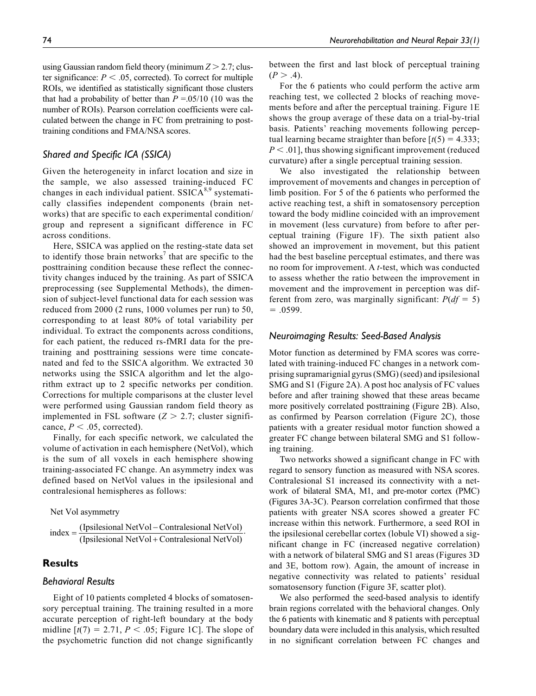using Gaussian random field theory (minimum *Z* > 2.7; cluster significance:  $P < .05$ , corrected). To correct for multiple ROIs, we identified as statistically significant those clusters that had a probability of better than  $P = 0.05/10$  (10 was the number of ROIs). Pearson correlation coefficients were calculated between the change in FC from pretraining to posttraining conditions and FMA/NSA scores.

# *Shared and Specific ICA (SSICA)*

Given the heterogeneity in infarct location and size in the sample, we also assessed training-induced FC changes in each individual patient.  $SSICA<sup>8,9</sup>$  systematically classifies independent components (brain networks) that are specific to each experimental condition/ group and represent a significant difference in FC across conditions.

Here, SSICA was applied on the resting-state data set to identify those brain networks<sup>7</sup> that are specific to the posttraining condition because these reflect the connectivity changes induced by the training. As part of SSICA preprocessing (see Supplemental Methods), the dimension of subject-level functional data for each session was reduced from 2000 (2 runs, 1000 volumes per run) to 50, corresponding to at least 80% of total variability per individual. To extract the components across conditions, for each patient, the reduced rs-fMRI data for the pretraining and posttraining sessions were time concatenated and fed to the SSICA algorithm. We extracted 30 networks using the SSICA algorithm and let the algorithm extract up to 2 specific networks per condition. Corrections for multiple comparisons at the cluster level were performed using Gaussian random field theory as implemented in FSL software  $(Z > 2.7)$ ; cluster significance,  $P < .05$ , corrected).

Finally, for each specific network, we calculated the volume of activation in each hemisphere (NetVol), which is the sum of all voxels in each hemisphere showing training-associated FC change. An asymmetry index was defined based on NetVol values in the ipsilesional and contralesional hemispheres as follows:

Net Vol asymmetry

$$
index = \frac{(Ipsilesional NetVol - Contralesional NetVol)}{(Ipsilesional NetVol + Contralesional NetVol)}.
$$

# **Results**

# *Behavioral Results*

Eight of 10 patients completed 4 blocks of somatosensory perceptual training. The training resulted in a more accurate perception of right-left boundary at the body midline  $[t(7) = 2.71, P < .05$ ; Figure 1C. The slope of the psychometric function did not change significantly

between the first and last block of perceptual training  $(P > .4)$ .

For the 6 patients who could perform the active arm reaching test, we collected 2 blocks of reaching movements before and after the perceptual training. Figure 1E shows the group average of these data on a trial-by-trial basis. Patients' reaching movements following perceptual learning became straighter than before  $[t(5) = 4.333]$ ; *P* < .01], thus showing significant improvement (reduced curvature) after a single perceptual training session.

We also investigated the relationship between improvement of movements and changes in perception of limb position. For 5 of the 6 patients who performed the active reaching test, a shift in somatosensory perception toward the body midline coincided with an improvement in movement (less curvature) from before to after perceptual training (Figure 1F). The sixth patient also showed an improvement in movement, but this patient had the best baseline perceptual estimates, and there was no room for improvement. A *t*-test, which was conducted to assess whether the ratio between the improvement in movement and the improvement in perception was different from zero, was marginally significant:  $P(df = 5)$  $= .0599.$ 

#### *Neuroimaging Results: Seed-Based Analysis*

Motor function as determined by FMA scores was correlated with training-induced FC changes in a network comprising supramarignial gyrus (SMG) (seed) and ipsilesional SMG and S1 (Figure 2A). A post hoc analysis of FC values before and after training showed that these areas became more positively correlated posttraining (Figure 2B). Also, as confirmed by Pearson correlation (Figure 2C), those patients with a greater residual motor function showed a greater FC change between bilateral SMG and S1 following training.

Two networks showed a significant change in FC with regard to sensory function as measured with NSA scores. Contralesional S1 increased its connectivity with a network of bilateral SMA, M1, and pre-motor cortex (PMC) (Figures 3A-3C). Pearson correlation confirmed that those patients with greater NSA scores showed a greater FC increase within this network. Furthermore, a seed ROI in the ipsilesional cerebellar cortex (lobule VI) showed a significant change in FC (increased negative correlation) with a network of bilateral SMG and S1 areas (Figures 3D and 3E, bottom row). Again, the amount of increase in negative connectivity was related to patients' residual somatosensory function (Figure 3F, scatter plot).

We also performed the seed-based analysis to identify brain regions correlated with the behavioral changes. Only the 6 patients with kinematic and 8 patients with perceptual boundary data were included in this analysis, which resulted in no significant correlation between FC changes and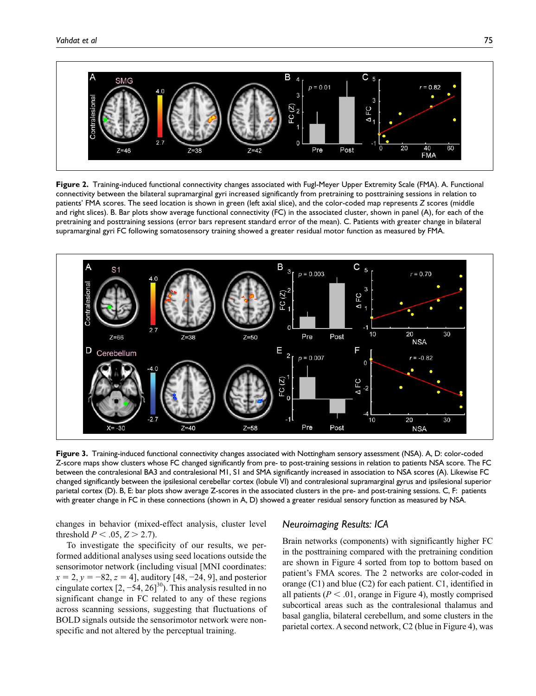

**Figure 2.** Training-induced functional connectivity changes associated with Fugl-Meyer Upper Extremity Scale (FMA). A. Functional connectivity between the bilateral supramarginal gyri increased significantly from pretraining to posttraining sessions in relation to patients' FMA scores. The seed location is shown in green (left axial slice), and the color-coded map represents *Z* scores (middle and right slices). B. Bar plots show average functional connectivity (FC) in the associated cluster, shown in panel (A), for each of the pretraining and posttraining sessions (error bars represent standard error of the mean). C. Patients with greater change in bilateral supramarginal gyri FC following somatosensory training showed a greater residual motor function as measured by FMA.



**Figure 3.** Training-induced functional connectivity changes associated with Nottingham sensory assessment (NSA). A, D: color-coded Z-score maps show clusters whose FC changed significantly from pre- to post-training sessions in relation to patients NSA score. The FC between the contralesional BA3 and contralesional M1, S1 and SMA significantly increased in association to NSA scores (A). Likewise FC changed significantly between the ipsilesional cerebellar cortex (lobule VI) and contralesional supramarginal gyrus and ipsilesional superior parietal cortex (D). B, E: bar plots show average Z-scores in the associated clusters in the pre- and post-training sessions. C, F: patients with greater change in FC in these connections (shown in A, D) showed a greater residual sensory function as measured by NSA.

changes in behavior (mixed-effect analysis, cluster level threshold *P* < .05, *Z* > 2.7).

To investigate the specificity of our results, we performed additional analyses using seed locations outside the sensorimotor network (including visual [MNI coordinates:  $x = 2$ ,  $y = -82$ ,  $z = 4$ , auditory [48, -24, 9], and posterior cingulate cortex  $[2, -54, 26]^{30}$ ). This analysis resulted in no significant change in FC related to any of these regions across scanning sessions, suggesting that fluctuations of BOLD signals outside the sensorimotor network were nonspecific and not altered by the perceptual training.

#### *Neuroimaging Results: ICA*

Brain networks (components) with significantly higher FC in the posttraining compared with the pretraining condition are shown in Figure 4 sorted from top to bottom based on patient's FMA scores. The 2 networks are color-coded in orange (C1) and blue (C2) for each patient. C1, identified in all patients ( $P < .01$ , orange in Figure 4), mostly comprised subcortical areas such as the contralesional thalamus and basal ganglia, bilateral cerebellum, and some clusters in the parietal cortex. A second network, C2 (blue in Figure 4), was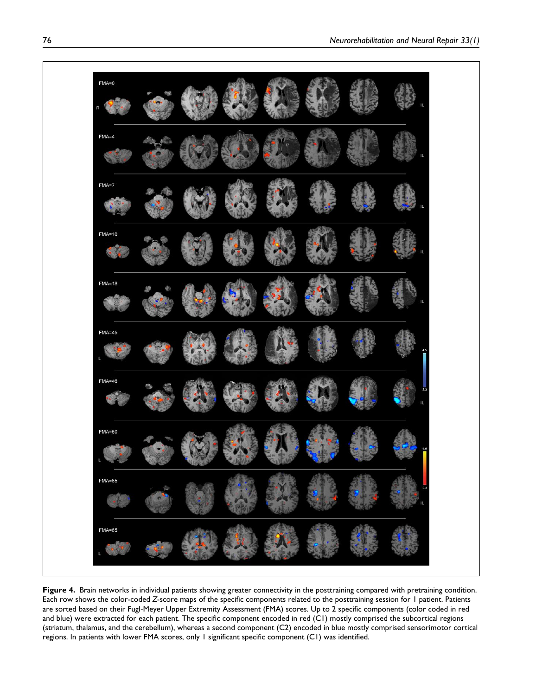

Figure 4. Brain networks in individual patients showing greater connectivity in the posttraining compared with pretraining condition. Each row shows the color-coded *Z*-score maps of the specific components related to the posttraining session for 1 patient. Patients are sorted based on their Fugl-Meyer Upper Extremity Assessment (FMA) scores. Up to 2 specific components (color coded in red and blue) were extracted for each patient. The specific component encoded in red (C1) mostly comprised the subcortical regions (striatum, thalamus, and the cerebellum), whereas a second component (C2) encoded in blue mostly comprised sensorimotor cortical regions. In patients with lower FMA scores, only 1 significant specific component (C1) was identified.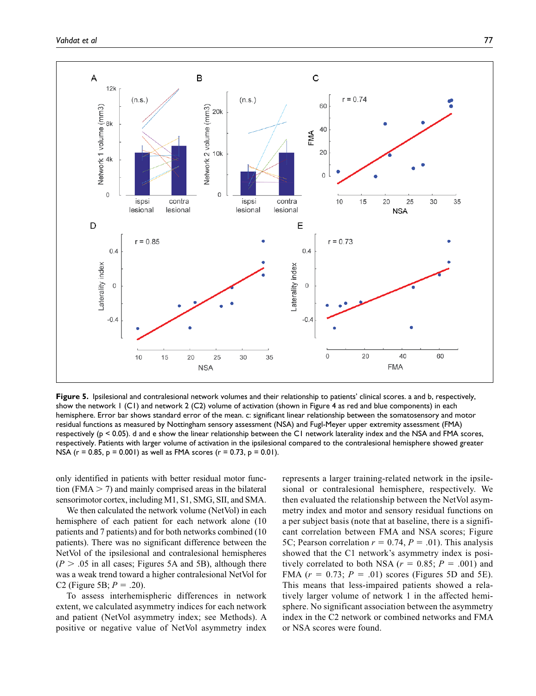

**Figure 5.** Ipsilesional and contralesional network volumes and their relationship to patients' clinical scores. a and b, respectively, show the network 1 (C1) and network 2 (C2) volume of activation (shown in Figure 4 as red and blue components) in each hemisphere. Error bar shows standard error of the mean. c: significant linear relationship between the somatosensory and motor residual functions as measured by Nottingham sensory assessment (NSA) and Fugl-Meyer upper extremity assessment (FMA) respectively (p < 0.05). d and e show the linear relationship between the C1 network laterality index and the NSA and FMA scores, respectively. Patients with larger volume of activation in the ipsilesional compared to the contralesional hemisphere showed greater NSA ( $r = 0.85$ ,  $p = 0.001$ ) as well as FMA scores ( $r = 0.73$ ,  $p = 0.01$ ).

only identified in patients with better residual motor function (FMA  $>$  7) and mainly comprised areas in the bilateral sensorimotor cortex, including M1, S1, SMG, SII, and SMA.

We then calculated the network volume (NetVol) in each hemisphere of each patient for each network alone (10 patients and 7 patients) and for both networks combined (10 patients). There was no significant difference between the NetVol of the ipsilesional and contralesional hemispheres  $(P > .05$  in all cases; Figures 5A and 5B), although there was a weak trend toward a higher contralesional NetVol for C2 (Figure 5B;  $P = .20$ ).

To assess interhemispheric differences in network extent, we calculated asymmetry indices for each network and patient (NetVol asymmetry index; see Methods). A positive or negative value of NetVol asymmetry index

represents a larger training-related network in the ipsilesional or contralesional hemisphere, respectively. We then evaluated the relationship between the NetVol asymmetry index and motor and sensory residual functions on a per subject basis (note that at baseline, there is a significant correlation between FMA and NSA scores; Figure 5C; Pearson correlation  $r = 0.74$ ,  $P = .01$ ). This analysis showed that the C1 network's asymmetry index is positively correlated to both NSA ( $r = 0.85$ ;  $P = .001$ ) and FMA  $(r = 0.73; P = .01)$  scores (Figures 5D and 5E). This means that less-impaired patients showed a relatively larger volume of network 1 in the affected hemisphere. No significant association between the asymmetry index in the C2 network or combined networks and FMA or NSA scores were found.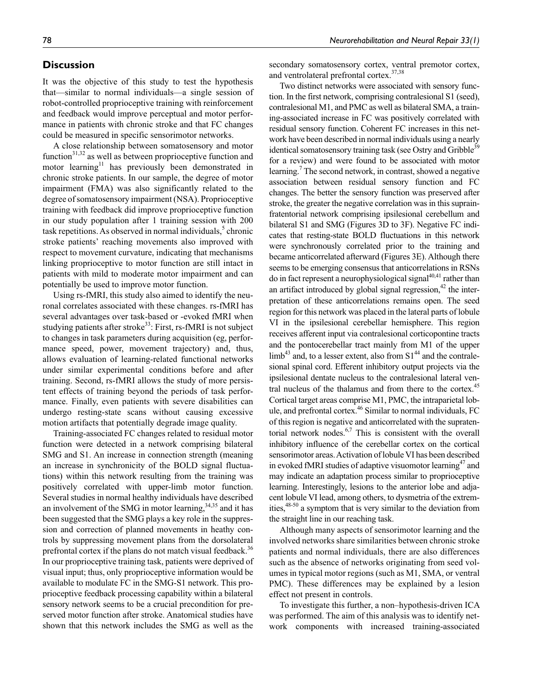# **Discussion**

It was the objective of this study to test the hypothesis that—similar to normal individuals—a single session of robot-controlled proprioceptive training with reinforcement and feedback would improve perceptual and motor performance in patients with chronic stroke and that FC changes could be measured in specific sensorimotor networks.

A close relationship between somatosensory and motor function $31,32$  as well as between proprioceptive function and motor learning<sup>11</sup> has previously been demonstrated in chronic stroke patients. In our sample, the degree of motor impairment (FMA) was also significantly related to the degree of somatosensory impairment (NSA). Proprioceptive training with feedback did improve proprioceptive function in our study population after 1 training session with 200 task repetitions. As observed in normal individuals,<sup>5</sup> chronic stroke patients' reaching movements also improved with respect to movement curvature, indicating that mechanisms linking proprioceptive to motor function are still intact in patients with mild to moderate motor impairment and can potentially be used to improve motor function.

Using rs-fMRI, this study also aimed to identify the neuronal correlates associated with these changes. rs-fMRI has several advantages over task-based or -evoked fMRI when studying patients after stroke<sup>33</sup>: First, rs-fMRI is not subject to changes in task parameters during acquisition (eg, performance speed, power, movement trajectory) and, thus, allows evaluation of learning-related functional networks under similar experimental conditions before and after training. Second, rs-fMRI allows the study of more persistent effects of training beyond the periods of task performance. Finally, even patients with severe disabilities can undergo resting-state scans without causing excessive motion artifacts that potentially degrade image quality.

Training-associated FC changes related to residual motor function were detected in a network comprising bilateral SMG and S1. An increase in connection strength (meaning an increase in synchronicity of the BOLD signal fluctuations) within this network resulting from the training was positively correlated with upper-limb motor function. Several studies in normal healthy individuals have described an involvement of the SMG in motor learning,  $34,35$  and it has been suggested that the SMG plays a key role in the suppression and correction of planned movements in heathy controls by suppressing movement plans from the dorsolateral prefrontal cortex if the plans do not match visual feedback.<sup>36</sup> In our proprioceptive training task, patients were deprived of visual input; thus, only proprioceptive information would be available to modulate FC in the SMG-S1 network. This proprioceptive feedback processing capability within a bilateral sensory network seems to be a crucial precondition for preserved motor function after stroke. Anatomical studies have shown that this network includes the SMG as well as the

secondary somatosensory cortex, ventral premotor cortex, and ventrolateral prefrontal cortex.<sup>37,38</sup>

Two distinct networks were associated with sensory function. In the first network, comprising contralesional S1 (seed), contralesional M1, and PMC as well as bilateral SMA, a training-associated increase in FC was positively correlated with residual sensory function. Coherent FC increases in this network have been described in normal individuals using a nearly identical somatosensory training task (see Ostry and Gribble<sup>39</sup> for a review) and were found to be associated with motor learning.<sup>7</sup> The second network, in contrast, showed a negative association between residual sensory function and FC changes. The better the sensory function was preserved after stroke, the greater the negative correlation was in this suprainfratentorial network comprising ipsilesional cerebellum and bilateral S1 and SMG (Figures 3D to 3F). Negative FC indicates that resting-state BOLD fluctuations in this network were synchronously correlated prior to the training and became anticorrelated afterward (Figures 3E). Although there seems to be emerging consensus that anticorrelations in RSNs do in fact represent a neurophysiological signal $40,41$  rather than an artifact introduced by global signal regression, $42$  the interpretation of these anticorrelations remains open. The seed region for this network was placed in the lateral parts of lobule VI in the ipsilesional cerebellar hemisphere. This region receives afferent input via contralesional corticopontine tracts and the pontocerebellar tract mainly from M1 of the upper  $\limb^{43}$  and, to a lesser extent, also from S1<sup>44</sup> and the contralesional spinal cord. Efferent inhibitory output projects via the ipsilesional dentate nucleus to the contralesional lateral ventral nucleus of the thalamus and from there to the cortex.<sup>45</sup> Cortical target areas comprise M1, PMC, the intraparietal lobule, and prefrontal cortex.<sup>46</sup> Similar to normal individuals, FC of this region is negative and anticorrelated with the supratentorial network nodes. $6,7$  This is consistent with the overall inhibitory influence of the cerebellar cortex on the cortical sensorimotor areas. Activation of lobule VI has been described in evoked fMRI studies of adaptive visuomotor learning<sup>47</sup> and may indicate an adaptation process similar to proprioceptive learning. Interestingly, lesions to the anterior lobe and adjacent lobule VI lead, among others, to dysmetria of the extremities,48-50 a symptom that is very similar to the deviation from the straight line in our reaching task.

Although many aspects of sensorimotor learning and the involved networks share similarities between chronic stroke patients and normal individuals, there are also differences such as the absence of networks originating from seed volumes in typical motor regions (such as M1, SMA, or ventral PMC). These differences may be explained by a lesion effect not present in controls.

To investigate this further, a non–hypothesis-driven ICA was performed. The aim of this analysis was to identify network components with increased training-associated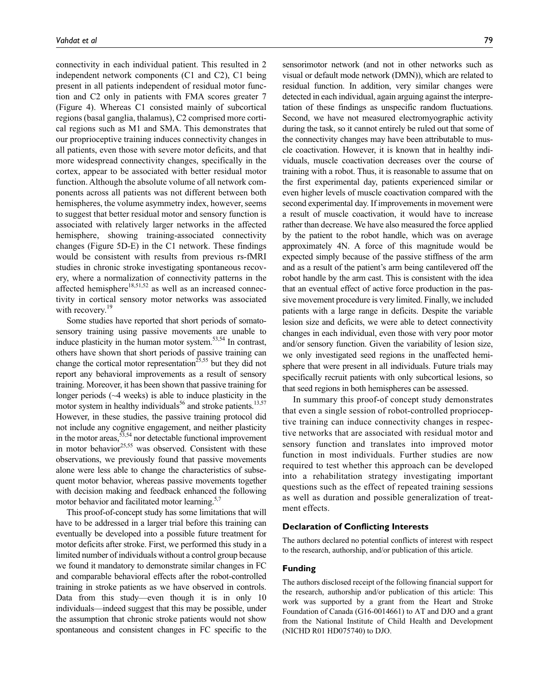connectivity in each individual patient. This resulted in 2 independent network components (C1 and C2), C1 being present in all patients independent of residual motor function and C2 only in patients with FMA scores greater 7 (Figure 4). Whereas C1 consisted mainly of subcortical regions (basal ganglia, thalamus), C2 comprised more cortical regions such as M1 and SMA. This demonstrates that our proprioceptive training induces connectivity changes in all patients, even those with severe motor deficits, and that more widespread connectivity changes, specifically in the cortex, appear to be associated with better residual motor function. Although the absolute volume of all network components across all patients was not different between both hemispheres, the volume asymmetry index, however, seems to suggest that better residual motor and sensory function is associated with relatively larger networks in the affected hemisphere, showing training-associated connectivity changes (Figure 5D-E) in the C1 network. These findings would be consistent with results from previous rs-fMRI studies in chronic stroke investigating spontaneous recovery, where a normalization of connectivity patterns in the affected hemisphere<sup>18,51,52</sup> as well as an increased connectivity in cortical sensory motor networks was associated with recovery.<sup>19</sup>

Some studies have reported that short periods of somatosensory training using passive movements are unable to induce plasticity in the human motor system. $53,54$  In contrast, others have shown that short periods of passive training can change the cortical motor representation<sup>25,55</sup> but they did not report any behavioral improvements as a result of sensory training. Moreover, it has been shown that passive training for longer periods (~4 weeks) is able to induce plasticity in the motor system in healthy individuals<sup>56</sup> and stroke patients.<sup>13,57</sup> However, in these studies, the passive training protocol did not include any cognitive engagement, and neither plasticity in the motor areas,  $53,54$  nor detectable functional improvement in motor behavior<sup>25,55</sup> was observed. Consistent with these observations, we previously found that passive movements alone were less able to change the characteristics of subsequent motor behavior, whereas passive movements together with decision making and feedback enhanced the following motor behavior and facilitated motor learning.<sup>5,7</sup>

This proof-of-concept study has some limitations that will have to be addressed in a larger trial before this training can eventually be developed into a possible future treatment for motor deficits after stroke. First, we performed this study in a limited number of individuals without a control group because we found it mandatory to demonstrate similar changes in FC and comparable behavioral effects after the robot-controlled training in stroke patients as we have observed in controls. Data from this study—even though it is in only 10 individuals—indeed suggest that this may be possible, under the assumption that chronic stroke patients would not show spontaneous and consistent changes in FC specific to the

sensorimotor network (and not in other networks such as visual or default mode network (DMN)), which are related to residual function. In addition, very similar changes were detected in each individual, again arguing against the interpretation of these findings as unspecific random fluctuations. Second, we have not measured electromyographic activity during the task, so it cannot entirely be ruled out that some of the connectivity changes may have been attributable to muscle coactivation. However, it is known that in healthy individuals, muscle coactivation decreases over the course of training with a robot. Thus, it is reasonable to assume that on the first experimental day, patients experienced similar or even higher levels of muscle coactivation compared with the second experimental day. If improvements in movement were a result of muscle coactivation, it would have to increase rather than decrease. We have also measured the force applied by the patient to the robot handle, which was on average approximately 4N. A force of this magnitude would be expected simply because of the passive stiffness of the arm and as a result of the patient's arm being cantilevered off the robot handle by the arm cast. This is consistent with the idea that an eventual effect of active force production in the passive movement procedure is very limited. Finally, we included patients with a large range in deficits. Despite the variable lesion size and deficits, we were able to detect connectivity changes in each individual, even those with very poor motor and/or sensory function. Given the variability of lesion size, we only investigated seed regions in the unaffected hemisphere that were present in all individuals. Future trials may specifically recruit patients with only subcortical lesions, so that seed regions in both hemispheres can be assessed.

In summary this proof-of concept study demonstrates that even a single session of robot-controlled proprioceptive training can induce connectivity changes in respective networks that are associated with residual motor and sensory function and translates into improved motor function in most individuals. Further studies are now required to test whether this approach can be developed into a rehabilitation strategy investigating important questions such as the effect of repeated training sessions as well as duration and possible generalization of treatment effects.

#### **Declaration of Conflicting Interests**

The authors declared no potential conflicts of interest with respect to the research, authorship, and/or publication of this article.

#### **Funding**

The authors disclosed receipt of the following financial support for the research, authorship and/or publication of this article: This work was supported by a grant from the Heart and Stroke Foundation of Canada (G16-0014661) to AT and DJO and a grant from the National Institute of Child Health and Development (NICHD R01 HD075740) to DJO.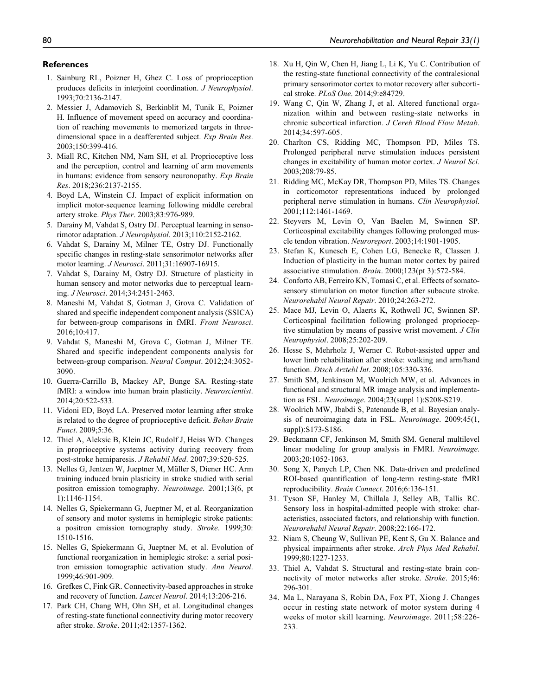#### **References**

- 1. Sainburg RL, Poizner H, Ghez C. Loss of proprioception produces deficits in interjoint coordination. *J Neurophysiol*. 1993;70:2136-2147.
- 2. Messier J, Adamovich S, Berkinblit M, Tunik E, Poizner H. Influence of movement speed on accuracy and coordination of reaching movements to memorized targets in threedimensional space in a deafferented subject. *Exp Brain Res*. 2003;150:399-416.
- 3. Miall RC, Kitchen NM, Nam SH, et al. Proprioceptive loss and the perception, control and learning of arm movements in humans: evidence from sensory neuronopathy. *Exp Brain Res*. 2018;236:2137-2155.
- 4. Boyd LA, Winstein CJ. Impact of explicit information on implicit motor-sequence learning following middle cerebral artery stroke. *Phys Ther*. 2003;83:976-989.
- 5. Darainy M, Vahdat S, Ostry DJ. Perceptual learning in sensorimotor adaptation. *J Neurophysiol*. 2013;110:2152-2162.
- 6. Vahdat S, Darainy M, Milner TE, Ostry DJ. Functionally specific changes in resting-state sensorimotor networks after motor learning. *J Neurosci*. 2011;31:16907-16915.
- 7. Vahdat S, Darainy M, Ostry DJ. Structure of plasticity in human sensory and motor networks due to perceptual learning. *J Neurosci*. 2014;34:2451-2463.
- 8. Maneshi M, Vahdat S, Gotman J, Grova C. Validation of shared and specific independent component analysis (SSICA) for between-group comparisons in fMRI. *Front Neurosci*.  $2016:10:417$
- 9. Vahdat S, Maneshi M, Grova C, Gotman J, Milner TE. Shared and specific independent components analysis for between-group comparison. *Neural Comput*. 2012;24:3052- 3090.
- 10. Guerra-Carrillo B, Mackey AP, Bunge SA. Resting-state fMRI: a window into human brain plasticity. *Neuroscientist*. 2014;20:522-533.
- 11. Vidoni ED, Boyd LA. Preserved motor learning after stroke is related to the degree of proprioceptive deficit. *Behav Brain Funct*. 2009;5:36.
- 12. Thiel A, Aleksic B, Klein JC, Rudolf J, Heiss WD. Changes in proprioceptive systems activity during recovery from post-stroke hemiparesis. *J Rehabil Med*. 2007;39:520-525.
- 13. Nelles G, Jentzen W, Jueptner M, Müller S, Diener HC. Arm training induced brain plasticity in stroke studied with serial positron emission tomography. *Neuroimage*. 2001;13(6, pt 1):1146-1154.
- 14. Nelles G, Spiekermann G, Jueptner M, et al. Reorganization of sensory and motor systems in hemiplegic stroke patients: a positron emission tomography study. *Stroke*. 1999;30: 1510-1516.
- 15. Nelles G, Spiekermann G, Jueptner M, et al. Evolution of functional reorganization in hemiplegic stroke: a serial positron emission tomographic activation study. *Ann Neurol*. 1999;46:901-909.
- 16. Grefkes C, Fink GR. Connectivity-based approaches in stroke and recovery of function. *Lancet Neurol*. 2014;13:206-216.
- 17. Park CH, Chang WH, Ohn SH, et al. Longitudinal changes of resting-state functional connectivity during motor recovery after stroke. *Stroke*. 2011;42:1357-1362.
- 18. Xu H, Qin W, Chen H, Jiang L, Li K, Yu C. Contribution of the resting-state functional connectivity of the contralesional primary sensorimotor cortex to motor recovery after subcortical stroke. *PLoS One*. 2014;9:e84729.
- 19. Wang C, Qin W, Zhang J, et al. Altered functional organization within and between resting-state networks in chronic subcortical infarction. *J Cereb Blood Flow Metab*. 2014;34:597-605.
- 20. Charlton CS, Ridding MC, Thompson PD, Miles TS. Prolonged peripheral nerve stimulation induces persistent changes in excitability of human motor cortex. *J Neurol Sci*. 2003;208:79-85.
- 21. Ridding MC, McKay DR, Thompson PD, Miles TS. Changes in corticomotor representations induced by prolonged peripheral nerve stimulation in humans. *Clin Neurophysiol*. 2001;112:1461-1469.
- 22. Steyvers M, Levin O, Van Baelen M, Swinnen SP. Corticospinal excitability changes following prolonged muscle tendon vibration. *Neuroreport*. 2003;14:1901-1905.
- 23. Stefan K, Kunesch E, Cohen LG, Benecke R, Classen J. Induction of plasticity in the human motor cortex by paired associative stimulation. *Brain*. 2000;123(pt 3):572-584.
- 24. Conforto AB, Ferreiro KN, Tomasi C, et al. Effects of somatosensory stimulation on motor function after subacute stroke. *Neurorehabil Neural Repair*. 2010;24:263-272.
- 25. Mace MJ, Levin O, Alaerts K, Rothwell JC, Swinnen SP. Corticospinal facilitation following prolonged proprioceptive stimulation by means of passive wrist movement. *J Clin Neurophysiol*. 2008;25:202-209.
- 26. Hesse S, Mehrholz J, Werner C. Robot-assisted upper and lower limb rehabilitation after stroke: walking and arm/hand function. *Dtsch Arztebl Int*. 2008;105:330-336.
- 27. Smith SM, Jenkinson M, Woolrich MW, et al. Advances in functional and structural MR image analysis and implementation as FSL. *Neuroimage*. 2004;23(suppl 1):S208-S219.
- 28. Woolrich MW, Jbabdi S, Patenaude B, et al. Bayesian analysis of neuroimaging data in FSL. *Neuroimage*. 2009;45(1, suppl):S173-S186.
- 29. Beckmann CF, Jenkinson M, Smith SM. General multilevel linear modeling for group analysis in FMRI. *Neuroimage*. 2003;20:1052-1063.
- 30. Song X, Panych LP, Chen NK. Data-driven and predefined ROI-based quantification of long-term resting-state fMRI reproducibility. *Brain Connect*. 2016;6:136-151.
- 31. Tyson SF, Hanley M, Chillala J, Selley AB, Tallis RC. Sensory loss in hospital-admitted people with stroke: characteristics, associated factors, and relationship with function. *Neurorehabil Neural Repair*. 2008;22:166-172.
- 32. Niam S, Cheung W, Sullivan PE, Kent S, Gu X. Balance and physical impairments after stroke. *Arch Phys Med Rehabil*. 1999;80:1227-1233.
- 33. Thiel A, Vahdat S. Structural and resting-state brain connectivity of motor networks after stroke. *Stroke*. 2015;46: 296-301.
- 34. Ma L, Narayana S, Robin DA, Fox PT, Xiong J. Changes occur in resting state network of motor system during 4 weeks of motor skill learning. *Neuroimage*. 2011;58:226- 233.